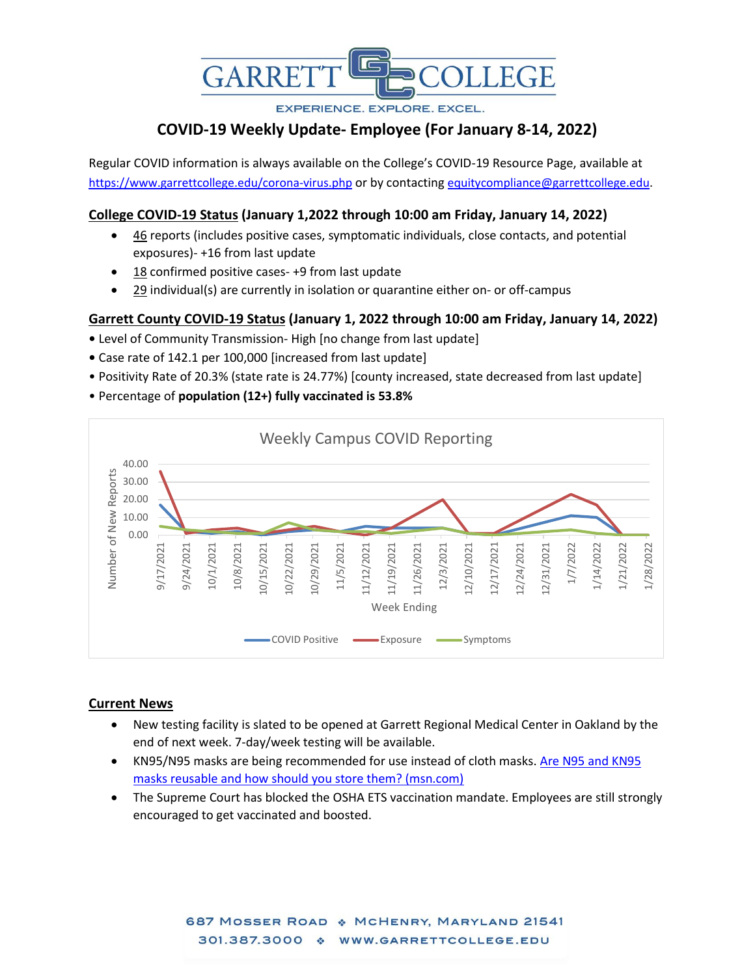

**EXPERIENCE, EXPLORE, EXCEL.** 

# **COVID-19 Weekly Update- Employee (For January 8-14, 2022)**

Regular COVID information is always available on the College's COVID-19 Resource Page, available at <https://www.garrettcollege.edu/corona-virus.php> or by contacting [equitycompliance@garrettcollege.edu.](mailto:equitycompliance@garrettcollege.edu)

# **College COVID-19 Status (January 1,2022 through 10:00 am Friday, January 14, 2022)**

- 46 reports (includes positive cases, symptomatic individuals, close contacts, and potential exposures)- +16 from last update
- 18 confirmed positive cases- +9 from last update
- 29 individual(s) are currently in isolation or quarantine either on- or off-campus

## **Garrett County COVID-19 Status (January 1, 2022 through 10:00 am Friday, January 14, 2022)**

- Level of Community Transmission- High [no change from last update]
- Case rate of 142.1 per 100,000 [increased from last update]
- Positivity Rate of 20.3% (state rate is 24.77%) [county increased, state decreased from last update]
- Percentage of **population (12+) fully vaccinated is 53.8%**



## **Current News**

- New testing facility is slated to be opened at Garrett Regional Medical Center in Oakland by the end of next week. 7-day/week testing will be available.
- KN95/N95 masks are being recommended for use instead of cloth masks. [Are N95 and KN95](https://www.msn.com/en-us/news/us/are-n95-and-kn95-masks-reusable-and-how-should-you-store-them/ar-AASImfC?ocid=uxbndlbing)  [masks reusable and how should you store them? \(msn.com\)](https://www.msn.com/en-us/news/us/are-n95-and-kn95-masks-reusable-and-how-should-you-store-them/ar-AASImfC?ocid=uxbndlbing)
- The Supreme Court has blocked the OSHA ETS vaccination mandate. Employees are still strongly encouraged to get vaccinated and boosted.

687 MOSSER ROAD & MCHENRY, MARYLAND 21541 301.387.3000 \* WWW.GARRETTCOLLEGE.EDU